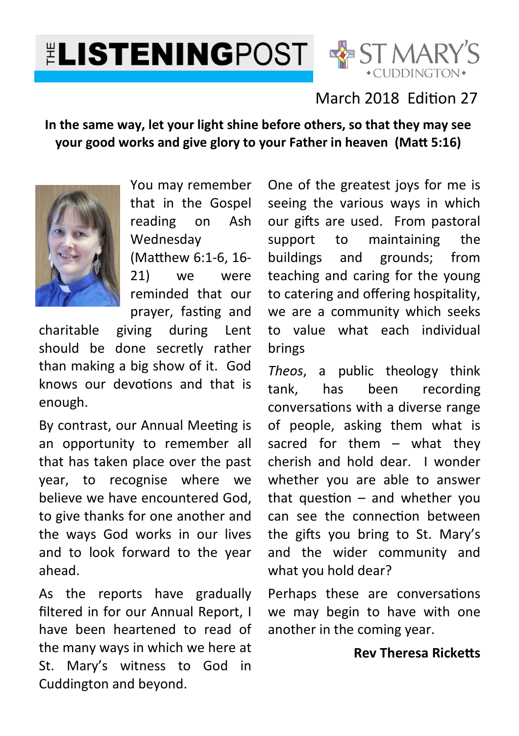# **ELISTENINGPOST & STMARY'S**



# March 2018 Fdition 27

**In the same way, let your light shine before others, so that they may see your good works and give glory to your Father in heaven (Matt 5:16)** 



You may remember that in the Gospel reading on Ash Wednesday (Matthew 6:1-6, 16-21) we were reminded that our prayer, fasting and

charitable giving during Lent should be done secretly rather than making a big show of it. God knows our devotions and that is enough.

By contrast, our Annual Meeting is an opportunity to remember all that has taken place over the past year, to recognise where we believe we have encountered God, to give thanks for one another and the ways God works in our lives and to look forward to the year ahead.

As the reports have gradually filtered in for our Annual Report, I have been heartened to read of the many ways in which we here at St. Mary's witness to God in Cuddington and beyond.

One of the greatest joys for me is seeing the various ways in which our gifts are used. From pastoral support to maintaining the buildings and grounds; from teaching and caring for the young to catering and offering hospitality, we are a community which seeks to value what each individual brings

*Theos*, a public theology think tank, has been recording conversations with a diverse range of people, asking them what is sacred for them – what they cherish and hold dear. I wonder whether you are able to answer that question  $-$  and whether you can see the connection between the gifts you bring to St. Mary's and the wider community and what you hold dear?

Perhaps these are conversations we may begin to have with one another in the coming year.

#### **Rev Theresa Rickes**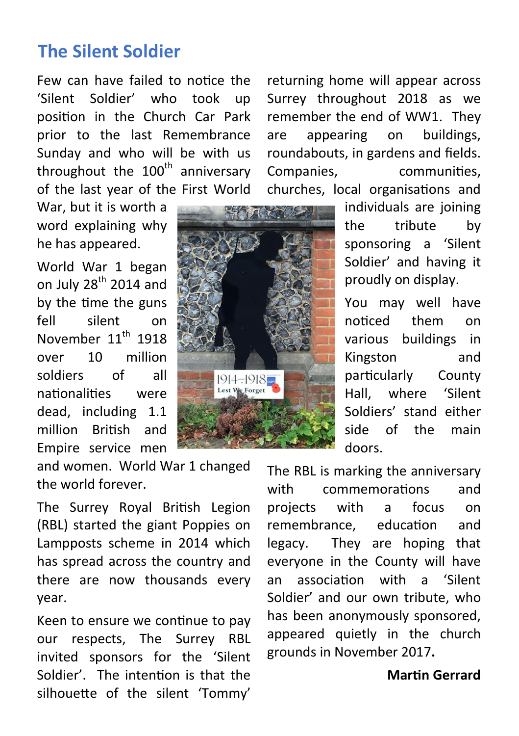# **The Silent Soldier**

Few can have failed to notice the 'Silent Soldier' who took up position in the Church Car Park prior to the last Remembrance Sunday and who will be with us throughout the  $100<sup>th</sup>$  anniversary of the last year of the First World

War, but it is worth a word explaining why he has appeared.

World War 1 began on July  $28<sup>th</sup>$  2014 and by the time the guns fell silent on November 11<sup>th</sup> 1918 over 10 million soldiers of all nationalities were dead, including 1.1 million British and Empire service men

and women. World War 1 changed the world forever.

The Surrey Royal British Legion (RBL) started the giant Poppies on Lampposts scheme in 2014 which has spread across the country and there are now thousands every year.

Keen to ensure we continue to pay our respects, The Surrey RBL invited sponsors for the 'Silent Soldier'. The intention is that the silhouette of the silent 'Tommy'

returning home will appear across Surrey throughout 2018 as we remember the end of WW1. They are appearing on buildings, roundabouts, in gardens and fields. Companies, communities, churches, local organisations and



individuals are joining the tribute by sponsoring a 'Silent Soldier' and having it proudly on display.

You may well have noticed them on various buildings in Kingston and particularly County Hall, where 'Silent Soldiers' stand either side of the main doors.

The RBL is marking the anniversary with commemorations and projects with a focus on remembrance. education and legacy. They are hoping that everyone in the County will have an association with a 'Silent Soldier' and our own tribute, who has been anonymously sponsored, appeared quietly in the church grounds in November 2017**.** 

#### **Martin Gerrard**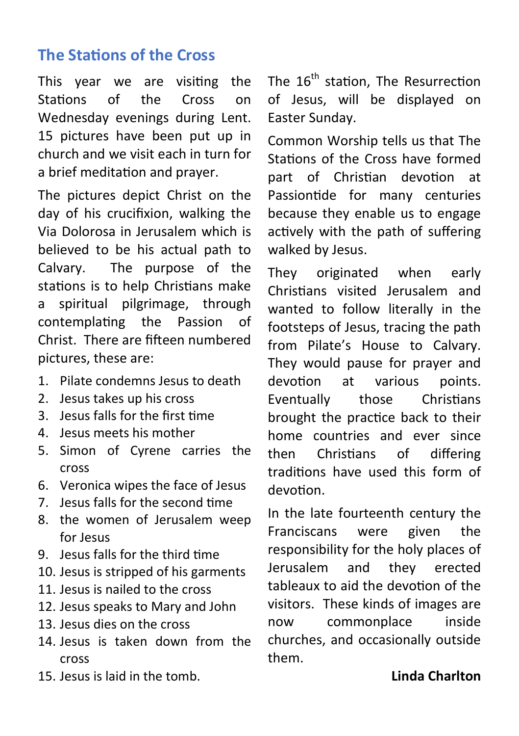# **The Stations of the Cross**

This year we are visiting the Stations of the Cross on Wednesday evenings during Lent. 15 pictures have been put up in church and we visit each in turn for a brief meditation and prayer.

The pictures depict Christ on the day of his crucifixion, walking the Via Dolorosa in Jerusalem which is believed to be his actual path to Calvary. The purpose of the stations is to help Christians make a spiritual pilgrimage, through contemplating the Passion of Christ. There are fifteen numbered pictures, these are:

- 1. Pilate condemns Jesus to death
- 2. Jesus takes up his cross
- 3. Jesus falls for the first me
- 4. Jesus meets his mother
- 5. Simon of Cyrene carries the cross
- 6. Veronica wipes the face of Jesus
- 7. Jesus falls for the second time
- 8. the women of Jerusalem weep for Jesus
- 9. Jesus falls for the third time
- 10. Jesus is stripped of his garments
- 11. Jesus is nailed to the cross
- 12. Jesus speaks to Mary and John
- 13. Jesus dies on the cross
- 14. Jesus is taken down from the cross
- 15. Jesus is laid in the tomb.

The  $16<sup>th</sup>$  station, The Resurrection of Jesus, will be displayed on Easter Sunday.

Common Worship tells us that The Stations of the Cross have formed part of Christian devotion at Passiontide for many centuries because they enable us to engage actively with the path of suffering walked by Jesus.

They originated when early Christians visited Jerusalem and wanted to follow literally in the footsteps of Jesus, tracing the path from Pilate's House to Calvary. They would pause for prayer and devotion at various points. Eventually those Christians brought the practice back to their home countries and ever since then Christians of differing traditions have used this form of devotion.

In the late fourteenth century the Franciscans were given the responsibility for the holy places of Jerusalem and they erected tableaux to aid the devotion of the visitors. These kinds of images are now commonplace inside churches, and occasionally outside them.

## **Linda Charlton**